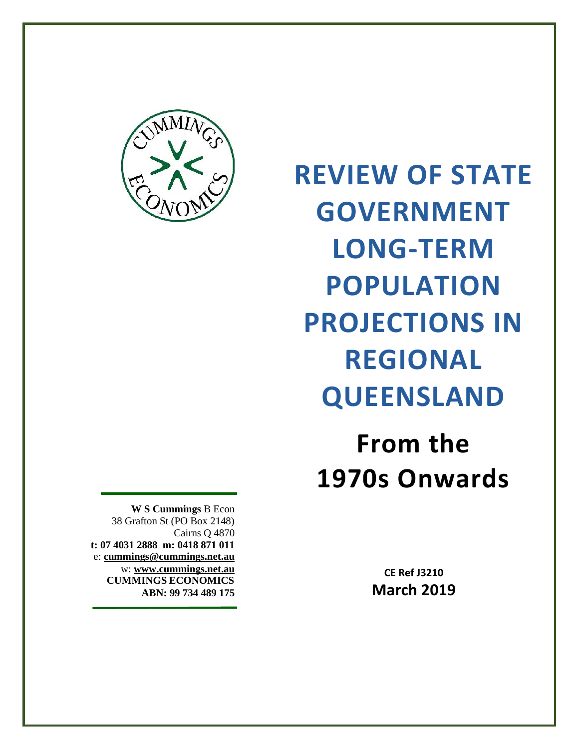

**REVIEW OF STATE GOVERNMENT LONG-TERM POPULATION PROJECTIONS IN REGIONAL QUEENSLAND**

**From the 1970s Onwards**

> **CE Ref J3210 March 2019**

**W S Cummings** B Econ 38 Grafton St (PO Box 2148) Cairns Q 4870 **t: 07 4031 2888 m: 0418 871 011** e: **[cummings@cummings.net.au](mailto:admin@compassresearch.net.au)** w: **[www.cummings.net.au](http://www.cummings.net.au/) CUMMINGS ECONOMICS ABN: 99 734 489 175**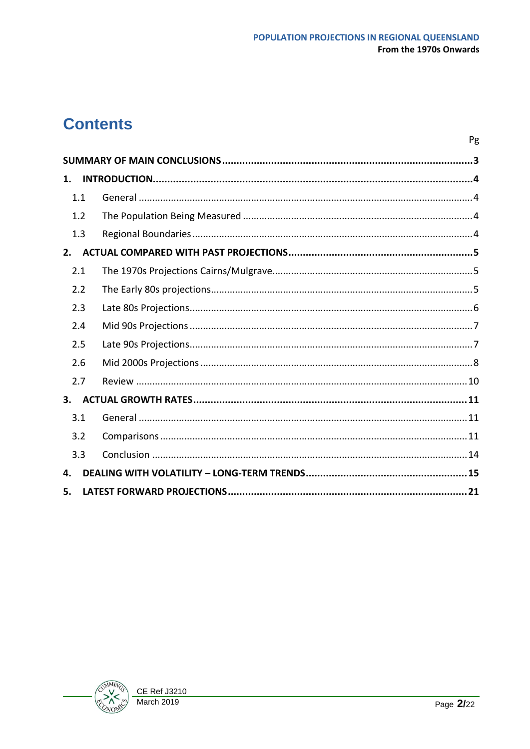Pg

# **Contents**

| 1.  |     |  |
|-----|-----|--|
| 1.1 |     |  |
|     | 1.2 |  |
|     | 1.3 |  |
| 2.  |     |  |
| 2.1 |     |  |
|     | 2.2 |  |
| 2.3 |     |  |
| 2.4 |     |  |
| 2.5 |     |  |
| 2.6 |     |  |
|     | 2.7 |  |
| 3.  |     |  |
| 3.1 |     |  |
| 3.2 |     |  |
| 3.3 |     |  |
| 4.  |     |  |
| 5.  |     |  |

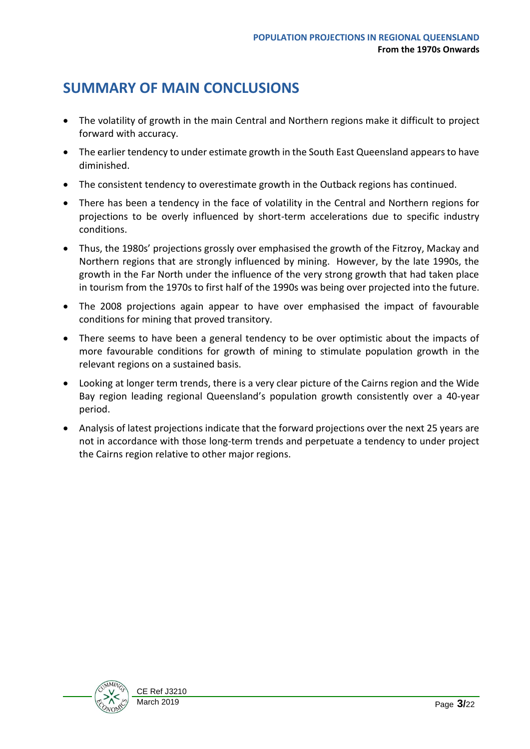## <span id="page-2-0"></span>**SUMMARY OF MAIN CONCLUSIONS**

- The volatility of growth in the main Central and Northern regions make it difficult to project forward with accuracy.
- The earlier tendency to under estimate growth in the South East Queensland appears to have diminished.
- The consistent tendency to overestimate growth in the Outback regions has continued.
- There has been a tendency in the face of volatility in the Central and Northern regions for projections to be overly influenced by short-term accelerations due to specific industry conditions.
- Thus, the 1980s' projections grossly over emphasised the growth of the Fitzroy, Mackay and Northern regions that are strongly influenced by mining. However, by the late 1990s, the growth in the Far North under the influence of the very strong growth that had taken place in tourism from the 1970s to first half of the 1990s was being over projected into the future.
- The 2008 projections again appear to have over emphasised the impact of favourable conditions for mining that proved transitory.
- There seems to have been a general tendency to be over optimistic about the impacts of more favourable conditions for growth of mining to stimulate population growth in the relevant regions on a sustained basis.
- Looking at longer term trends, there is a very clear picture of the Cairns region and the Wide Bay region leading regional Queensland's population growth consistently over a 40-year period.
- Analysis of latest projections indicate that the forward projections over the next 25 years are not in accordance with those long-term trends and perpetuate a tendency to under project the Cairns region relative to other major regions.

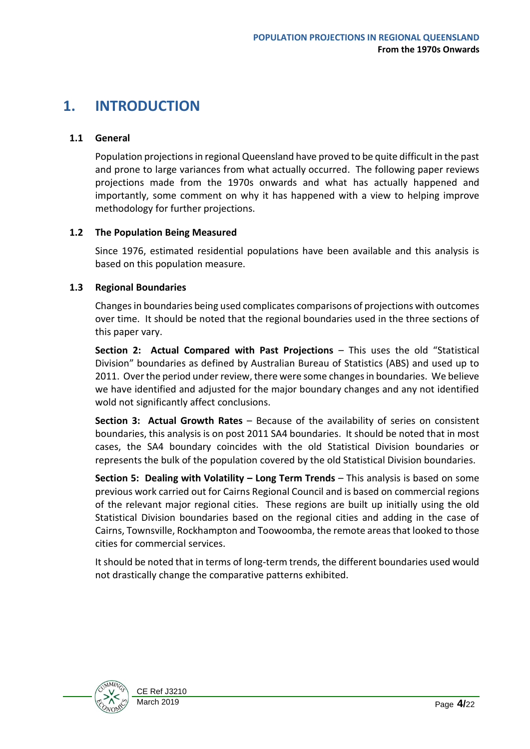## <span id="page-3-0"></span>**1. INTRODUCTION**

## <span id="page-3-1"></span>**1.1 General**

Population projections in regional Queensland have proved to be quite difficult in the past and prone to large variances from what actually occurred. The following paper reviews projections made from the 1970s onwards and what has actually happened and importantly, some comment on why it has happened with a view to helping improve methodology for further projections.

#### <span id="page-3-2"></span>**1.2 The Population Being Measured**

Since 1976, estimated residential populations have been available and this analysis is based on this population measure.

### <span id="page-3-3"></span>**1.3 Regional Boundaries**

Changes in boundaries being used complicates comparisons of projections with outcomes over time. It should be noted that the regional boundaries used in the three sections of this paper vary.

**Section 2: Actual Compared with Past Projections** – This uses the old "Statistical Division" boundaries as defined by Australian Bureau of Statistics (ABS) and used up to 2011. Over the period under review, there were some changes in boundaries. We believe we have identified and adjusted for the major boundary changes and any not identified wold not significantly affect conclusions.

**Section 3: Actual Growth Rates** – Because of the availability of series on consistent boundaries, this analysis is on post 2011 SA4 boundaries. It should be noted that in most cases, the SA4 boundary coincides with the old Statistical Division boundaries or represents the bulk of the population covered by the old Statistical Division boundaries.

**Section 5: Dealing with Volatility – Long Term Trends** – This analysis is based on some previous work carried out for Cairns Regional Council and is based on commercial regions of the relevant major regional cities. These regions are built up initially using the old Statistical Division boundaries based on the regional cities and adding in the case of Cairns, Townsville, Rockhampton and Toowoomba, the remote areas that looked to those cities for commercial services.

It should be noted that in terms of long-term trends, the different boundaries used would not drastically change the comparative patterns exhibited.

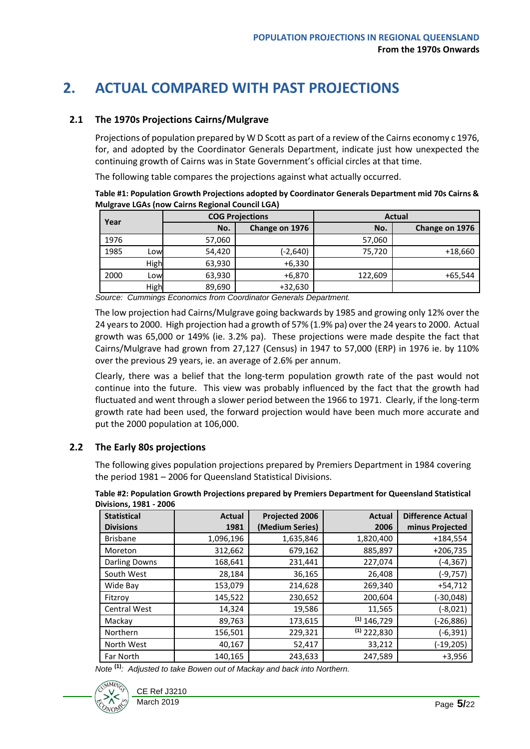## <span id="page-4-0"></span>**2. ACTUAL COMPARED WITH PAST PROJECTIONS**

#### <span id="page-4-1"></span>**2.1 The 1970s Projections Cairns/Mulgrave**

Projections of population prepared by W D Scott as part of a review of the Cairns economy c 1976, for, and adopted by the Coordinator Generals Department, indicate just how unexpected the continuing growth of Cairns was in State Government's official circles at that time.

The following table compares the projections against what actually occurred.

**Table #1: Population Growth Projections adopted by Coordinator Generals Department mid 70s Cairns & Mulgrave LGAs (now Cairns Regional Council LGA)**

| Year |      | <b>COG Projections</b> |                | <b>Actual</b> |                |  |
|------|------|------------------------|----------------|---------------|----------------|--|
|      |      | No.                    | Change on 1976 | No.           | Change on 1976 |  |
| 1976 |      | 57,060                 |                | 57,060        |                |  |
| 1985 | Low  | 54,420                 | (-2,640)       | 75.720        | $+18,660$      |  |
|      | High | 63,930                 | $+6,330$       |               |                |  |
| 2000 | Low  | 63,930                 | $+6,870$       | 122,609       | $+65,544$      |  |
|      | High | 89,690                 | $+32,630$      |               |                |  |

*Source: Cummings Economics from Coordinator Generals Department.*

The low projection had Cairns/Mulgrave going backwards by 1985 and growing only 12% over the 24 years to 2000. High projection had a growth of 57% (1.9% pa) over the 24 years to 2000. Actual growth was 65,000 or 149% (ie. 3.2% pa). These projections were made despite the fact that Cairns/Mulgrave had grown from 27,127 (Census) in 1947 to 57,000 (ERP) in 1976 ie. by 110% over the previous 29 years, ie. an average of 2.6% per annum.

Clearly, there was a belief that the long-term population growth rate of the past would not continue into the future. This view was probably influenced by the fact that the growth had fluctuated and went through a slower period between the 1966 to 1971. Clearly, if the long-term growth rate had been used, the forward projection would have been much more accurate and put the 2000 population at 106,000.

## <span id="page-4-2"></span>**2.2 The Early 80s projections**

The following gives population projections prepared by Premiers Department in 1984 covering the period 1981 – 2006 for Queensland Statistical Divisions.

| <b>Statistical</b>  | <b>Actual</b> | Projected 2006  | <b>Actual</b> | <b>Difference Actual</b> |
|---------------------|---------------|-----------------|---------------|--------------------------|
| <b>Divisions</b>    | 1981          | (Medium Series) | 2006          | minus Projected          |
| <b>Brisbane</b>     | 1,096,196     | 1,635,846       | 1,820,400     | $+184,554$               |
| Moreton             | 312,662       | 679,162         | 885,897       | $+206,735$               |
| Darling Downs       | 168,641       | 231,441         | 227,074       | $(-4, 367)$              |
| South West          | 28,184        | 36,165          | 26,408        | $(-9, 757)$              |
| Wide Bay            | 153,079       | 214,628         | 269,340       | $+54,712$                |
| Fitzrov             | 145,522       | 230,652         | 200,604       | (-30,048)                |
| <b>Central West</b> | 14,324        | 19,586          | 11,565        | (-8,021)                 |
| Mackay              | 89,763        | 173,615         | $(1)$ 146,729 | (-26,886)                |
| <b>Northern</b>     | 156,501       | 229,321         | $(1)$ 222,830 | $(-6, 391)$              |
| North West          | 40,167        | 52,417          | 33,212        | $(-19, 205)$             |
| <b>Far North</b>    | 140,165       | 243,633         | 247,589       | $+3,956$                 |

**Table #2: Population Growth Projections prepared by Premiers Department for Queensland Statistical Division** 

*Note* **(1)***: Adjusted to take Bowen out of Mackay and back into Northern.*

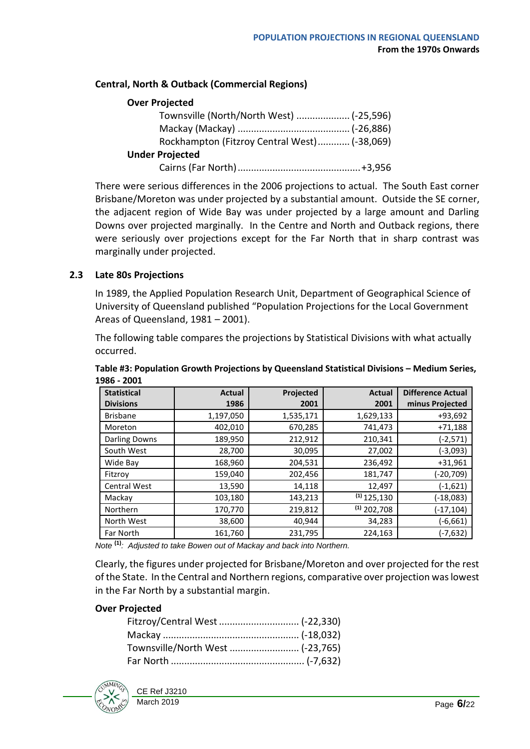## **Central, North & Outback (Commercial Regions)**

## **Over Projected**

| Townsville (North/North West)  (-25,596)     |  |
|----------------------------------------------|--|
|                                              |  |
| Rockhampton (Fitzroy Central West) (-38,069) |  |
| <b>Under Projected</b>                       |  |
|                                              |  |

There were serious differences in the 2006 projections to actual. The South East corner Brisbane/Moreton was under projected by a substantial amount. Outside the SE corner, the adjacent region of Wide Bay was under projected by a large amount and Darling Downs over projected marginally. In the Centre and North and Outback regions, there were seriously over projections except for the Far North that in sharp contrast was marginally under projected.

#### <span id="page-5-0"></span>**2.3 Late 80s Projections**

In 1989, the Applied Population Research Unit, Department of Geographical Science of University of Queensland published "Population Projections for the Local Government Areas of Queensland, 1981 – 2001).

The following table compares the projections by Statistical Divisions with what actually occurred.

| JOU – ŁUUI          |               |           |               |                          |
|---------------------|---------------|-----------|---------------|--------------------------|
| <b>Statistical</b>  | <b>Actual</b> | Projected | <b>Actual</b> | <b>Difference Actual</b> |
| <b>Divisions</b>    | 1986          | 2001      | 2001          | minus Projected          |
| <b>Brisbane</b>     | 1,197,050     | 1,535,171 | 1,629,133     | +93,692                  |
| Moreton             | 402,010       | 670,285   | 741,473       | $+71,188$                |
| Darling Downs       | 189,950       | 212,912   | 210,341       | $(-2, 571)$              |
| South West          | 28,700        | 30,095    | 27,002        | $(-3,093)$               |
| Wide Bay            | 168,960       | 204,531   | 236,492       | $+31,961$                |
| Fitzroy             | 159,040       | 202,456   | 181,747       | $(-20, 709)$             |
| <b>Central West</b> | 13,590        | 14,118    | 12,497        | $(-1,621)$               |
| Mackay              | 103,180       | 143,213   | $(1)$ 125,130 | $(-18,083)$              |
| <b>Northern</b>     | 170,770       | 219,812   | $(1)$ 202,708 | $(-17, 104)$             |
| North West          | 38,600        | 40,944    | 34,283        | (-6,661)                 |
| Far North           | 161,760       | 231,795   | 224,163       | (-7,632)                 |

**Table #3: Population Growth Projections by Queensland Statistical Divisions – Medium Series, 1986 - 2001**

*Note* **(1)***: Adjusted to take Bowen out of Mackay and back into Northern.*

Clearly, the figures under projected for Brisbane/Moreton and over projected for the rest of the State. In the Central and Northern regions, comparative over projection was lowest in the Far North by a substantial margin.

#### **Over Projected**

| Townsville/North West  (-23,765) |  |
|----------------------------------|--|
|                                  |  |

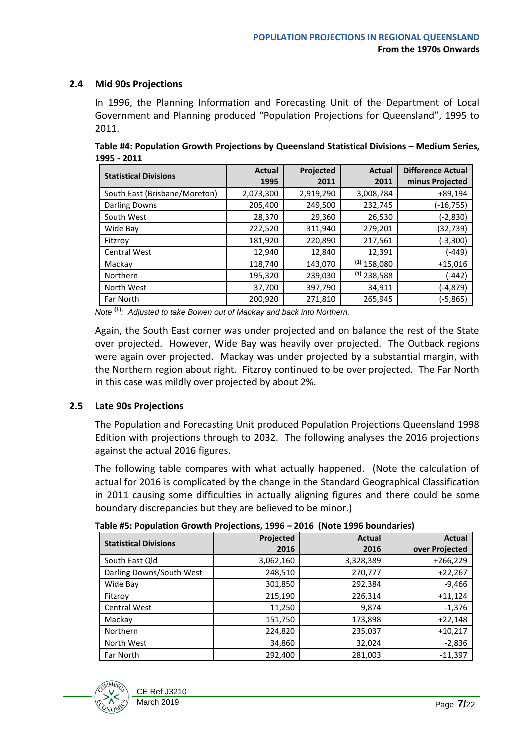## <span id="page-6-0"></span>**2.4 Mid 90s Projections**

In 1996, the Planning Information and Forecasting Unit of the Department of Local Government and Planning produced "Population Projections for Queensland", 1995 to 2011.

**Table #4: Population Growth Projections by Queensland Statistical Divisions – Medium Series, 1995 - 2011**

| <b>Statistical Divisions</b>  | <b>Actual</b> | Projected | <b>Actual</b> | <b>Difference Actual</b> |
|-------------------------------|---------------|-----------|---------------|--------------------------|
|                               | 1995          | 2011      | 2011          | minus Projected          |
| South East (Brisbane/Moreton) | 2,073,300     | 2,919,290 | 3,008,784     | $+89,194$                |
| Darling Downs                 | 205,400       | 249,500   | 232,745       | $(-16, 755)$             |
| South West                    | 28,370        | 29,360    | 26,530        | (-2,830)                 |
| Wide Bay                      | 222,520       | 311,940   | 279,201       | $-(32,739)$              |
| Fitzroy                       | 181,920       | 220,890   | 217,561       | (-3,300)                 |
| <b>Central West</b>           | 12,940        | 12,840    | 12,391        | $-449)$                  |
| Mackay                        | 118,740       | 143,070   | $(1)$ 158,080 | $+15,016$                |
| Northern                      | 195,320       | 239,030   | $(1)$ 238,588 | -442)                    |
| North West                    | 37,700        | 397,790   | 34,911        | (-4,879)                 |
| <b>Far North</b>              | 200.920       | 271,810   | 265,945       | (-5,865)                 |

*Note* **(1)***: Adjusted to take Bowen out of Mackay and back into Northern.*

Again, the South East corner was under projected and on balance the rest of the State over projected. However, Wide Bay was heavily over projected. The Outback regions were again over projected. Mackay was under projected by a substantial margin, with the Northern region about right. Fitzroy continued to be over projected. The Far North in this case was mildly over projected by about 2%.

#### <span id="page-6-1"></span>**2.5 Late 90s Projections**

The Population and Forecasting Unit produced Population Projections Queensland 1998 Edition with projections through to 2032. The following analyses the 2016 projections against the actual 2016 figures.

The following table compares with what actually happened. (Note the calculation of actual for 2016 is complicated by the change in the Standard Geographical Classification in 2011 causing some difficulties in actually aligning figures and there could be some boundary discrepancies but they are believed to be minor.)

| Table #5. Population Growth Projections, 1990 – 2010 TNOLE 1990 DOUNGATEST |           |               |                |  |  |  |
|----------------------------------------------------------------------------|-----------|---------------|----------------|--|--|--|
|                                                                            | Projected | <b>Actual</b> | <b>Actual</b>  |  |  |  |
| <b>Statistical Divisions</b>                                               | 2016      | 2016          | over Projected |  |  |  |
| South East Qld                                                             | 3,062,160 | 3,328,389     | $+266,229$     |  |  |  |
| Darling Downs/South West                                                   | 248,510   | 270,777       | $+22,267$      |  |  |  |
| Wide Bay                                                                   | 301,850   | 292,384       | $-9,466$       |  |  |  |
| Fitzrov                                                                    | 215,190   | 226,314       | $+11,124$      |  |  |  |
| <b>Central West</b>                                                        | 11,250    | 9,874         | $-1,376$       |  |  |  |
| Mackay                                                                     | 151,750   | 173,898       | $+22,148$      |  |  |  |
| <b>Northern</b>                                                            | 224,820   | 235,037       | $+10,217$      |  |  |  |
| North West                                                                 | 34,860    | 32,024        | $-2,836$       |  |  |  |
| Far North                                                                  | 292,400   | 281,003       | $-11.397$      |  |  |  |

**Table #5: Population Growth Projections, 1996 – 2016 (Note 1996 boundaries)**

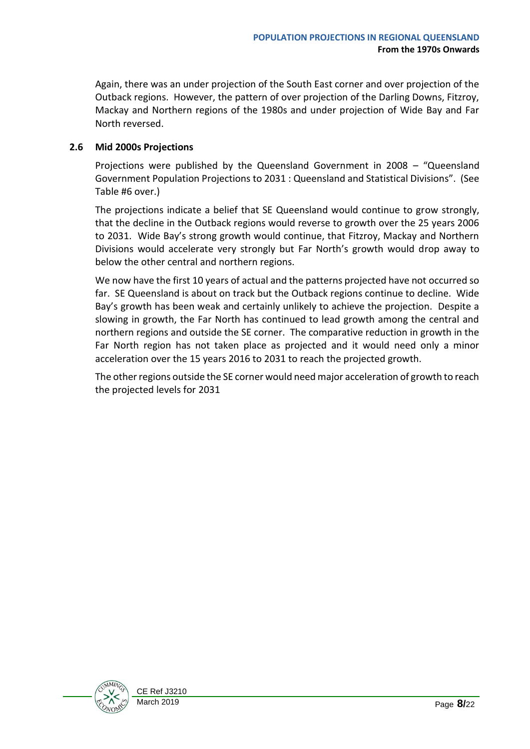Again, there was an under projection of the South East corner and over projection of the Outback regions. However, the pattern of over projection of the Darling Downs, Fitzroy, Mackay and Northern regions of the 1980s and under projection of Wide Bay and Far North reversed.

### <span id="page-7-0"></span>**2.6 Mid 2000s Projections**

Projections were published by the Queensland Government in 2008 – "Queensland Government Population Projections to 2031 : Queensland and Statistical Divisions". (See Table #6 over.)

The projections indicate a belief that SE Queensland would continue to grow strongly, that the decline in the Outback regions would reverse to growth over the 25 years 2006 to 2031. Wide Bay's strong growth would continue, that Fitzroy, Mackay and Northern Divisions would accelerate very strongly but Far North's growth would drop away to below the other central and northern regions.

We now have the first 10 years of actual and the patterns projected have not occurred so far. SE Queensland is about on track but the Outback regions continue to decline. Wide Bay's growth has been weak and certainly unlikely to achieve the projection. Despite a slowing in growth, the Far North has continued to lead growth among the central and northern regions and outside the SE corner. The comparative reduction in growth in the Far North region has not taken place as projected and it would need only a minor acceleration over the 15 years 2016 to 2031 to reach the projected growth.

The other regions outside the SE corner would need major acceleration of growth to reach the projected levels for 2031

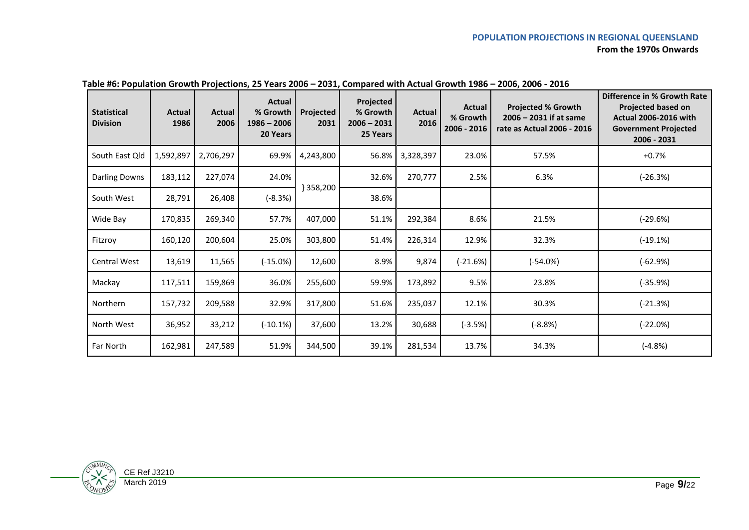#### **POPULATION PROJECTIONS IN REGIONAL QUEENSLAND From the 1970s Onwards**

| <b>Statistical</b><br><b>Division</b> | Actual<br>1986 | Actual<br>2006 | <b>Actual</b><br>% Growth<br>$1986 - 2006$<br>20 Years | Projected<br>2031 | <b>Projected</b><br>% Growth<br>$2006 - 2031$<br>25 Years | Actual<br>2016 | Actual<br>% Growth<br>2006 - 2016 | <b>Projected % Growth</b><br>$2006 - 2031$ if at same<br>rate as Actual 2006 - 2016 | Difference in % Growth Rate<br><b>Projected based on</b><br><b>Actual 2006-2016 with</b><br><b>Government Projected</b><br>2006 - 2031 |
|---------------------------------------|----------------|----------------|--------------------------------------------------------|-------------------|-----------------------------------------------------------|----------------|-----------------------------------|-------------------------------------------------------------------------------------|----------------------------------------------------------------------------------------------------------------------------------------|
| South East Qld                        | 1,592,897      | 2,706,297      | 69.9%                                                  | 4,243,800         | 56.8%                                                     | 3,328,397      | 23.0%                             | 57.5%                                                                               | $+0.7%$                                                                                                                                |
| <b>Darling Downs</b>                  | 183,112        | 227,074        | 24.0%                                                  |                   | 32.6%                                                     | 270,777        | 2.5%                              | 6.3%                                                                                | $(-26.3%)$                                                                                                                             |
| South West                            | 28,791         | 26,408         | $(-8.3%)$                                              | } 358,200         | 38.6%                                                     |                |                                   |                                                                                     |                                                                                                                                        |
| Wide Bay                              | 170,835        | 269,340        | 57.7%                                                  | 407,000           | 51.1%                                                     | 292,384        | 8.6%                              | 21.5%                                                                               | $(-29.6%)$                                                                                                                             |
| Fitzroy                               | 160,120        | 200,604        | 25.0%                                                  | 303,800           | 51.4%                                                     | 226,314        | 12.9%                             | 32.3%                                                                               | $(-19.1%)$                                                                                                                             |
| Central West                          | 13,619         | 11,565         | $(-15.0%)$                                             | 12,600            | 8.9%                                                      | 9,874          | $(-21.6%)$                        | $(-54.0%)$                                                                          | $(-62.9%)$                                                                                                                             |
| Mackay                                | 117,511        | 159,869        | 36.0%                                                  | 255,600           | 59.9%                                                     | 173,892        | 9.5%                              | 23.8%                                                                               | (-35.9%)                                                                                                                               |
| Northern                              | 157,732        | 209,588        | 32.9%                                                  | 317,800           | 51.6%                                                     | 235,037        | 12.1%                             | 30.3%                                                                               | (-21.3%)                                                                                                                               |
| North West                            | 36,952         | 33,212         | $(-10.1%)$                                             | 37,600            | 13.2%                                                     | 30,688         | $(-3.5%)$                         | $(-8.8%)$                                                                           | $(-22.0%)$                                                                                                                             |
| Far North                             | 162,981        | 247,589        | 51.9%                                                  | 344,500           | 39.1%                                                     | 281,534        | 13.7%                             | 34.3%                                                                               | $(-4.8%)$                                                                                                                              |

#### **Table #6: Population Growth Projections, 25 Years 2006 – 2031, Compared with Actual Growth 1986 – 2006, 2006 - 2016**

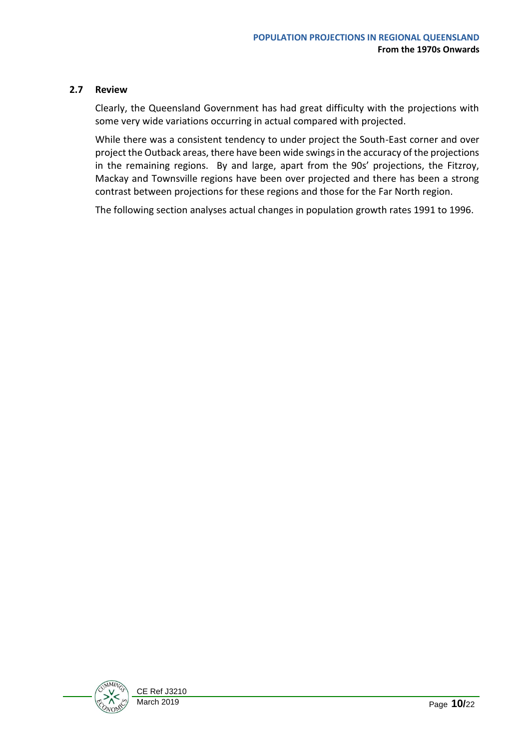#### <span id="page-9-0"></span>**2.7 Review**

Clearly, the Queensland Government has had great difficulty with the projections with some very wide variations occurring in actual compared with projected.

While there was a consistent tendency to under project the South-East corner and over project the Outback areas, there have been wide swings in the accuracy of the projections in the remaining regions. By and large, apart from the 90s' projections, the Fitzroy, Mackay and Townsville regions have been over projected and there has been a strong contrast between projections for these regions and those for the Far North region.

The following section analyses actual changes in population growth rates 1991 to 1996.

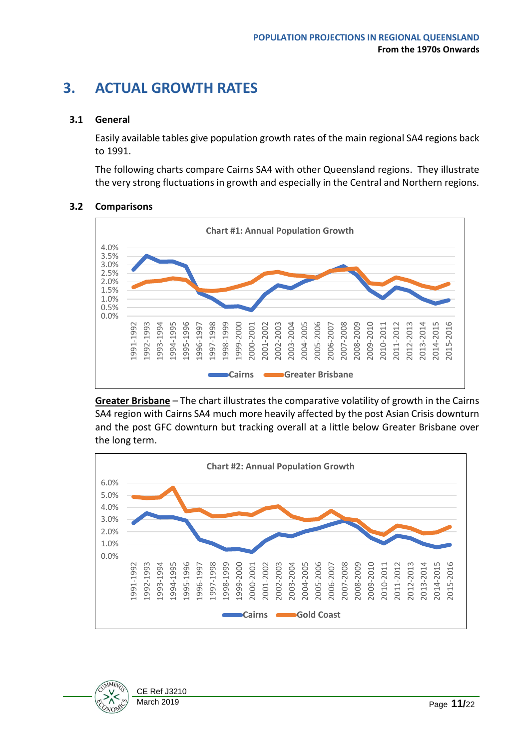## <span id="page-10-0"></span>**3. ACTUAL GROWTH RATES**

## <span id="page-10-1"></span>**3.1 General**

Easily available tables give population growth rates of the main regional SA4 regions back to 1991.

The following charts compare Cairns SA4 with other Queensland regions. They illustrate the very strong fluctuations in growth and especially in the Central and Northern regions.

#### <span id="page-10-2"></span>**3.2 Comparisons**



**Greater Brisbane** – The chart illustrates the comparative volatility of growth in the Cairns SA4 region with Cairns SA4 much more heavily affected by the post Asian Crisis downturn and the post GFC downturn but tracking overall at a little below Greater Brisbane over the long term.



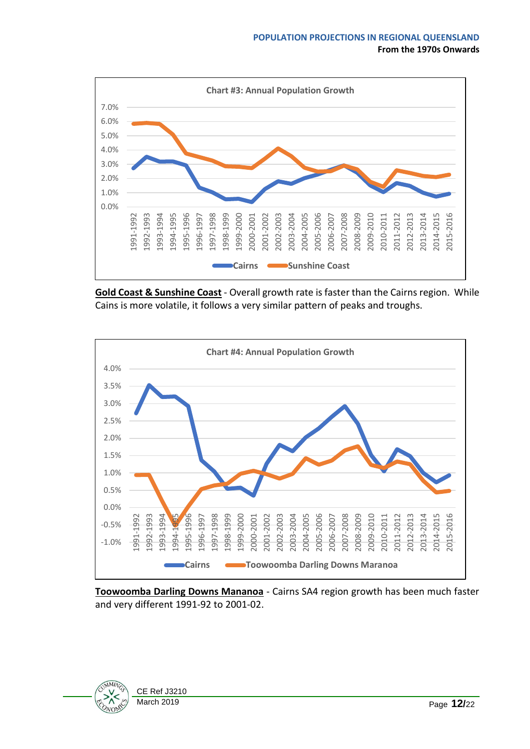

**Gold Coast & Sunshine Coast** - Overall growth rate is faster than the Cairns region. While Cains is more volatile, it follows a very similar pattern of peaks and troughs.



**Toowoomba Darling Downs Mananoa** - Cairns SA4 region growth has been much faster and very different 1991-92 to 2001-02.

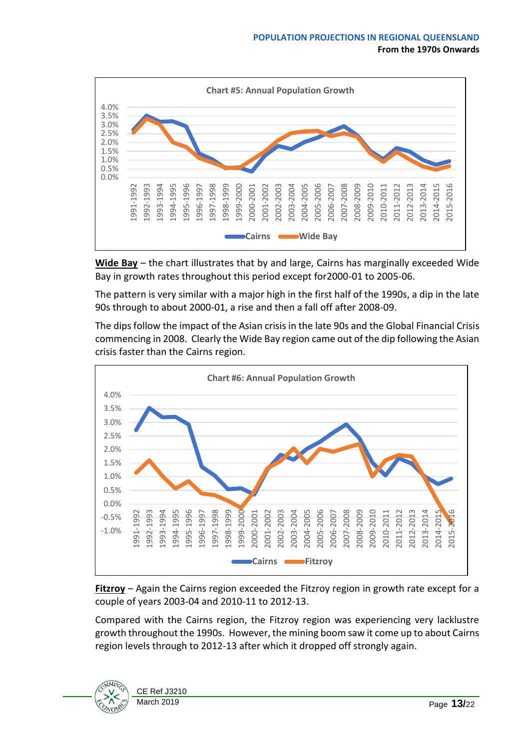

**Wide Bay** – the chart illustrates that by and large, Cairns has marginally exceeded Wide Bay in growth rates throughout this period except for2000-01 to 2005-06.

The pattern is very similar with a major high in the first half of the 1990s, a dip in the late 90s through to about 2000-01, a rise and then a fall off after 2008-09.

The dips follow the impact of the Asian crisis in the late 90s and the Global Financial Crisis commencing in 2008. Clearly the Wide Bay region came out of the dip following the Asian crisis faster than the Cairns region.



**Fitzroy** – Again the Cairns region exceeded the Fitzroy region in growth rate except for a couple of years 2003-04 and 2010-11 to 2012-13.

Compared with the Cairns region, the Fitzroy region was experiencing very lacklustre growth throughout the 1990s. However, the mining boom saw it come up to about Cairns region levels through to 2012-13 after which it dropped off strongly again.

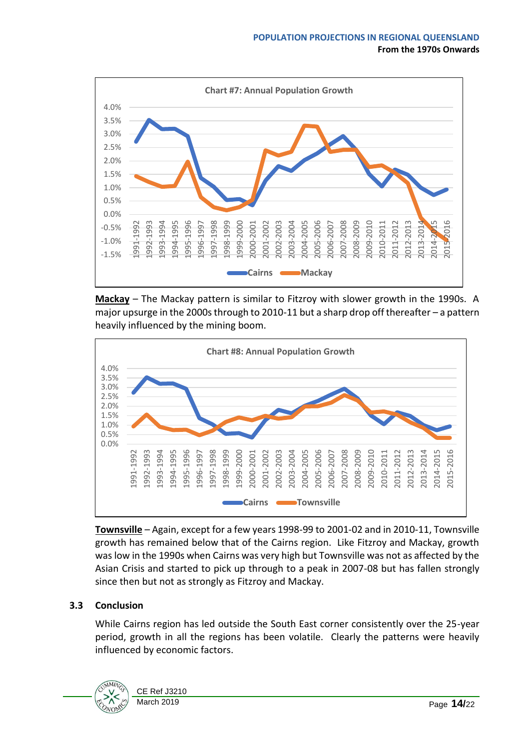

**Mackay** – The Mackay pattern is similar to Fitzroy with slower growth in the 1990s. A major upsurge in the 2000s through to 2010-11 but a sharp drop off thereafter – a pattern heavily influenced by the mining boom.



**Townsville** – Again, except for a few years 1998-99 to 2001-02 and in 2010-11, Townsville growth has remained below that of the Cairns region. Like Fitzroy and Mackay, growth was low in the 1990s when Cairns was very high but Townsville was not as affected by the Asian Crisis and started to pick up through to a peak in 2007-08 but has fallen strongly since then but not as strongly as Fitzroy and Mackay.

## <span id="page-13-0"></span>**3.3 Conclusion**

While Cairns region has led outside the South East corner consistently over the 25-year period, growth in all the regions has been volatile. Clearly the patterns were heavily influenced by economic factors.

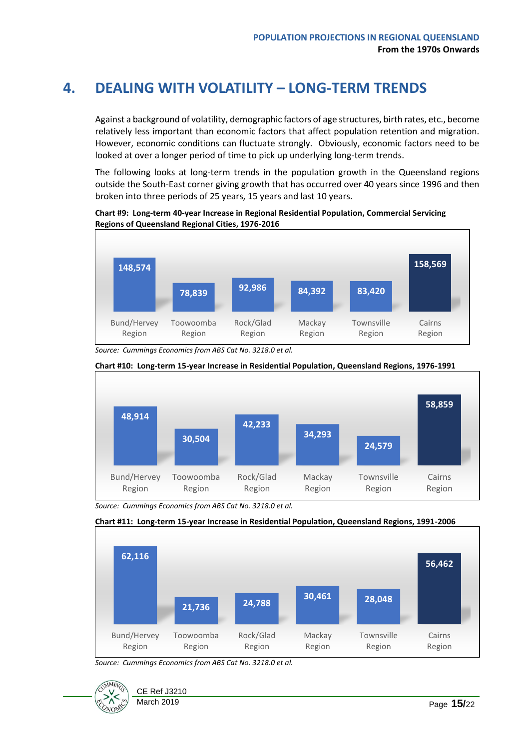## <span id="page-14-0"></span>**4. DEALING WITH VOLATILITY – LONG-TERM TRENDS**

Against a background of volatility, demographic factors of age structures, birth rates, etc., become relatively less important than economic factors that affect population retention and migration. However, economic conditions can fluctuate strongly. Obviously, economic factors need to be looked at over a longer period of time to pick up underlying long-term trends.

The following looks at long-term trends in the population growth in the Queensland regions outside the South-East corner giving growth that has occurred over 40 years since 1996 and then broken into three periods of 25 years, 15 years and last 10 years.

**Chart #9: Long-term 40-year Increase in Regional Residential Population, Commercial Servicing Regions of Queensland Regional Cities, 1976-2016**



*Source: Cummings Economics from ABS Cat No. 3218.0 et al.*



*Source: Cummings Economics from ABS Cat No. 3218.0 et al.*





*Source: Cummings Economics from ABS Cat No. 3218.0 et al.*

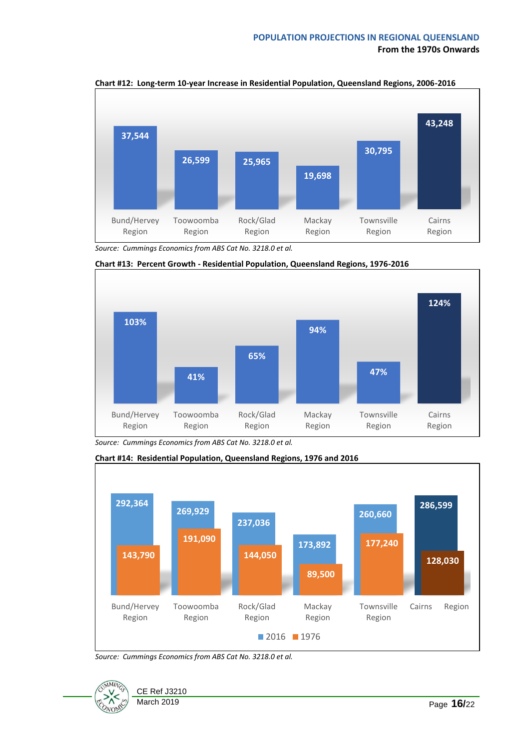

**Chart #12: Long-term 10-year Increase in Residential Population, Queensland Regions, 2006-2016**

*Source: Cummings Economics from ABS Cat No. 3218.0 et al.*



**Chart #13: Percent Growth - Residential Population, Queensland Regions, 1976-2016**

**Chart #14: Residential Population, Queensland Regions, 1976 and 2016**



*Source: Cummings Economics from ABS Cat No. 3218.0 et al.*



*Source: Cummings Economics from ABS Cat No. 3218.0 et al.*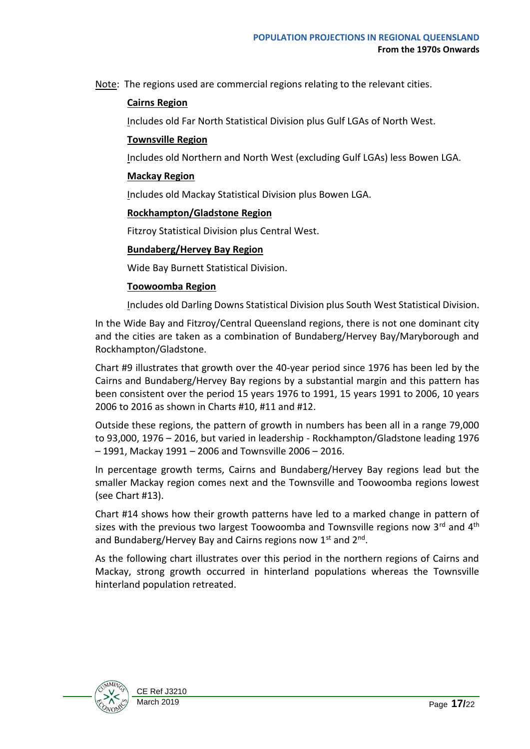Note: The regions used are commercial regions relating to the relevant cities.

## **Cairns Region**

Includes old Far North Statistical Division plus Gulf LGAs of North West.

#### **Townsville Region**

Includes old Northern and North West (excluding Gulf LGAs) less Bowen LGA.

#### **Mackay Region**

Includes old Mackay Statistical Division plus Bowen LGA.

### **Rockhampton/Gladstone Region**

Fitzroy Statistical Division plus Central West.

### **Bundaberg/Hervey Bay Region**

Wide Bay Burnett Statistical Division.

### **Toowoomba Region**

Includes old Darling Downs Statistical Division plus South West Statistical Division.

In the Wide Bay and Fitzroy/Central Queensland regions, there is not one dominant city and the cities are taken as a combination of Bundaberg/Hervey Bay/Maryborough and Rockhampton/Gladstone.

Chart #9 illustrates that growth over the 40-year period since 1976 has been led by the Cairns and Bundaberg/Hervey Bay regions by a substantial margin and this pattern has been consistent over the period 15 years 1976 to 1991, 15 years 1991 to 2006, 10 years 2006 to 2016 as shown in Charts #10, #11 and #12.

Outside these regions, the pattern of growth in numbers has been all in a range 79,000 to 93,000, 1976 – 2016, but varied in leadership - Rockhampton/Gladstone leading 1976 – 1991, Mackay 1991 – 2006 and Townsville 2006 – 2016.

In percentage growth terms, Cairns and Bundaberg/Hervey Bay regions lead but the smaller Mackay region comes next and the Townsville and Toowoomba regions lowest (see Chart #13).

Chart #14 shows how their growth patterns have led to a marked change in pattern of sizes with the previous two largest Toowoomba and Townsville regions now  $3^{rd}$  and  $4^{th}$ and Bundaberg/Hervey Bay and Cairns regions now 1st and 2<sup>nd</sup>.

As the following chart illustrates over this period in the northern regions of Cairns and Mackay, strong growth occurred in hinterland populations whereas the Townsville hinterland population retreated.

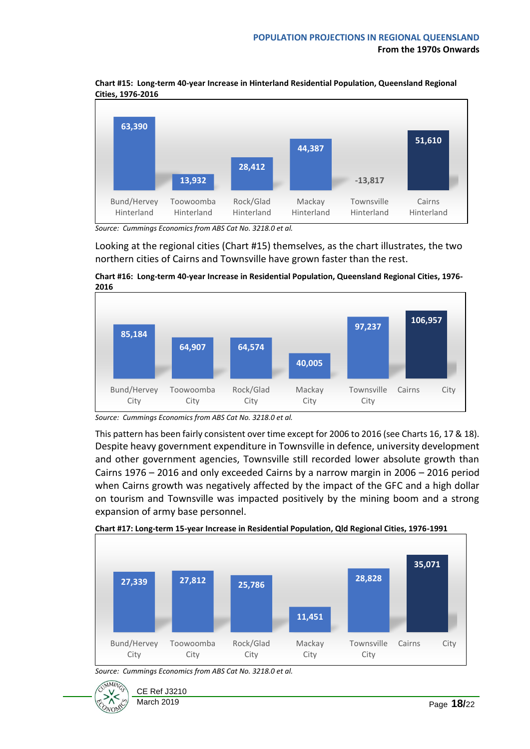

**Chart #15: Long-term 40-year Increase in Hinterland Residential Population, Queensland Regional Cities, 1976-2016**

Looking at the regional cities (Chart #15) themselves, as the chart illustrates, the two northern cities of Cairns and Townsville have grown faster than the rest.





*Source: Cummings Economics from ABS Cat No. 3218.0 et al.*

This pattern has been fairly consistent over time except for 2006 to 2016 (see Charts 16, 17 & 18). Despite heavy government expenditure in Townsville in defence, university development and other government agencies, Townsville still recorded lower absolute growth than Cairns 1976 – 2016 and only exceeded Cairns by a narrow margin in 2006 – 2016 period when Cairns growth was negatively affected by the impact of the GFC and a high dollar on tourism and Townsville was impacted positively by the mining boom and a strong expansion of army base personnel.



*Source: Cummings Economics from ABS Cat No. 3218.0 et al.*



*Source: Cummings Economics from ABS Cat No. 3218.0 et al.*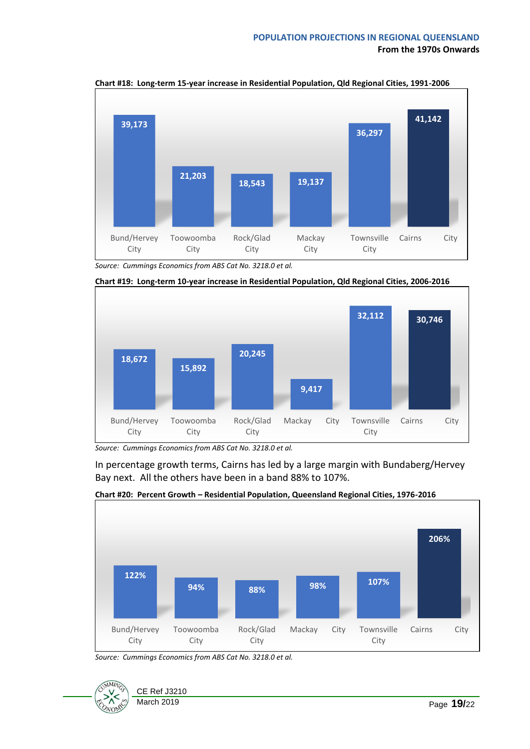

**Chart #18: Long-term 15-year increase in Residential Population, Qld Regional Cities, 1991-2006**

*Source: Cummings Economics from ABS Cat No. 3218.0 et al.*



**Chart #19: Long-term 10-year increase in Residential Population, Qld Regional Cities, 2006-2016**

In percentage growth terms, Cairns has led by a large margin with Bundaberg/Hervey Bay next. All the others have been in a band 88% to 107%.



**Chart #20: Percent Growth – Residential Population, Queensland Regional Cities, 1976-2016**

*Source: Cummings Economics from ABS Cat No. 3218.0 et al.*



*Source: Cummings Economics from ABS Cat No. 3218.0 et al.*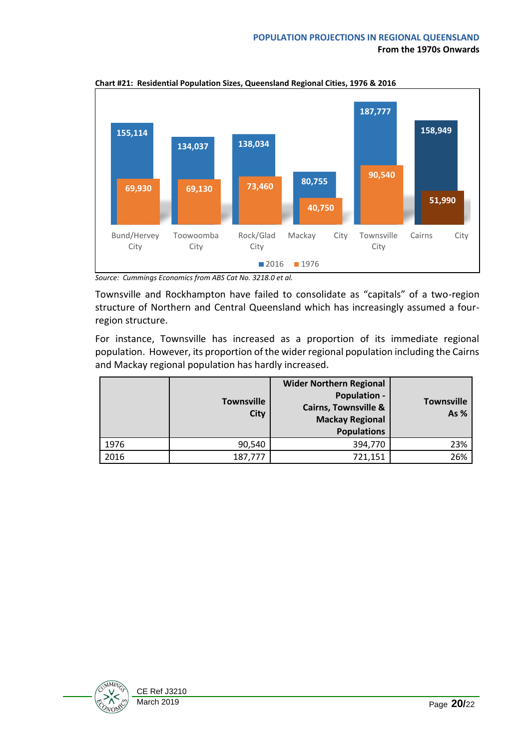

**Chart #21: Residential Population Sizes, Queensland Regional Cities, 1976 & 2016**

Townsville and Rockhampton have failed to consolidate as "capitals" of a two-region structure of Northern and Central Queensland which has increasingly assumed a fourregion structure.

For instance, Townsville has increased as a proportion of its immediate regional population. However, its proportion of the wider regional population including the Cairns and Mackay regional population has hardly increased.

|      | <b>Townsville</b><br><b>City</b> | <b>Wider Northern Regional</b><br><b>Population -</b><br><b>Cairns, Townsville &amp;</b><br><b>Mackay Regional</b><br><b>Populations</b> | <b>Townsville</b><br>As % |
|------|----------------------------------|------------------------------------------------------------------------------------------------------------------------------------------|---------------------------|
| 1976 | 90,540                           | 394,770                                                                                                                                  | 23%                       |
| 2016 | 187,777                          | 721,151                                                                                                                                  | 26%                       |



*Source: Cummings Economics from ABS Cat No. 3218.0 et al.*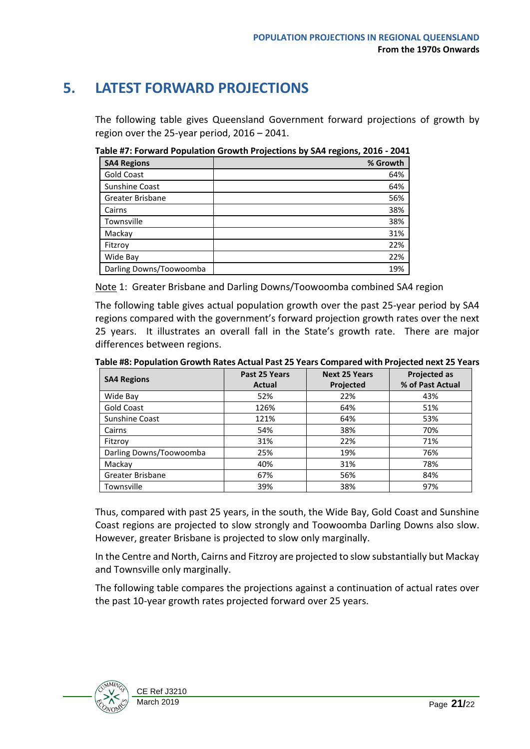## <span id="page-20-0"></span>**5. LATEST FORWARD PROJECTIONS**

The following table gives Queensland Government forward projections of growth by region over the 25-year period, 2016 – 2041.

**Table #7: Forward Population Growth Projections by SA4 regions, 2016 - 2041**

| <b>SA4 Regions</b>      | % Growth |
|-------------------------|----------|
| <b>Gold Coast</b>       | 64%      |
| Sunshine Coast          | 64%      |
| Greater Brisbane        | 56%      |
| Cairns                  | 38%      |
| Townsville              | 38%      |
| Mackay                  | 31%      |
| Fitzroy                 | 22%      |
| Wide Bay                | 22%      |
| Darling Downs/Toowoomba | 19%      |

Note 1: Greater Brisbane and Darling Downs/Toowoomba combined SA4 region

The following table gives actual population growth over the past 25-year period by SA4 regions compared with the government's forward projection growth rates over the next 25 years. It illustrates an overall fall in the State's growth rate. There are major differences between regions.

**Table #8: Population Growth Rates Actual Past 25 Years Compared with Projected next 25 Years**

| <b>SA4 Regions</b>      | Past 25 Years | <b>Next 25 Years</b> | <b>Projected as</b> |  |
|-------------------------|---------------|----------------------|---------------------|--|
|                         | Actual        | Projected            | % of Past Actual    |  |
| Wide Bay                | 52%           | 22%                  | 43%                 |  |
| Gold Coast              | 126%          | 64%                  | 51%                 |  |
| <b>Sunshine Coast</b>   | 121%          | 64%                  | 53%                 |  |
| Cairns                  | 54%           | 38%                  | 70%                 |  |
| Fitzrov                 | 31%           | 22%                  | 71%                 |  |
| Darling Downs/Toowoomba | 25%           | 19%                  | 76%                 |  |
| Mackay                  | 40%           | 31%                  | 78%                 |  |
| Greater Brisbane        | 67%           | 56%                  | 84%                 |  |
| Townsville              | 39%           | 38%                  | 97%                 |  |

Thus, compared with past 25 years, in the south, the Wide Bay, Gold Coast and Sunshine Coast regions are projected to slow strongly and Toowoomba Darling Downs also slow. However, greater Brisbane is projected to slow only marginally.

In the Centre and North, Cairns and Fitzroy are projected to slow substantially but Mackay and Townsville only marginally.

The following table compares the projections against a continuation of actual rates over the past 10-year growth rates projected forward over 25 years.